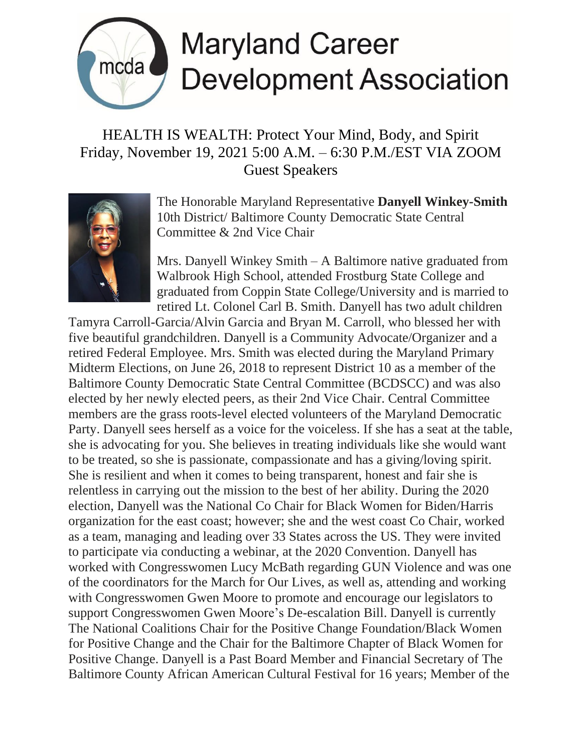

## **Maryland Career Development Association**

## HEALTH IS WEALTH: Protect Your Mind, Body, and Spirit Friday, November 19, 2021 5:00 A.M. – 6:30 P.M./EST VIA ZOOM Guest Speakers



The Honorable Maryland Representative **Danyell Winkey-Smith** 10th District/ Baltimore County Democratic State Central Committee & 2nd Vice Chair

Mrs. Danyell Winkey Smith – A Baltimore native graduated from Walbrook High School, attended Frostburg State College and graduated from Coppin State College/University and is married to retired Lt. Colonel Carl B. Smith. Danyell has two adult children

Tamyra Carroll-Garcia/Alvin Garcia and Bryan M. Carroll, who blessed her with five beautiful grandchildren. Danyell is a Community Advocate/Organizer and a retired Federal Employee. Mrs. Smith was elected during the Maryland Primary Midterm Elections, on June 26, 2018 to represent District 10 as a member of the Baltimore County Democratic State Central Committee (BCDSCC) and was also elected by her newly elected peers, as their 2nd Vice Chair. Central Committee members are the grass roots-level elected volunteers of the Maryland Democratic Party. Danyell sees herself as a voice for the voiceless. If she has a seat at the table, she is advocating for you. She believes in treating individuals like she would want to be treated, so she is passionate, compassionate and has a giving/loving spirit. She is resilient and when it comes to being transparent, honest and fair she is relentless in carrying out the mission to the best of her ability. During the 2020 election, Danyell was the National Co Chair for Black Women for Biden/Harris organization for the east coast; however; she and the west coast Co Chair, worked as a team, managing and leading over 33 States across the US. They were invited to participate via conducting a webinar, at the 2020 Convention. Danyell has worked with Congresswomen Lucy McBath regarding GUN Violence and was one of the coordinators for the March for Our Lives, as well as, attending and working with Congresswomen Gwen Moore to promote and encourage our legislators to support Congresswomen Gwen Moore's De-escalation Bill. Danyell is currently The National Coalitions Chair for the Positive Change Foundation/Black Women for Positive Change and the Chair for the Baltimore Chapter of Black Women for Positive Change. Danyell is a Past Board Member and Financial Secretary of The Baltimore County African American Cultural Festival for 16 years; Member of the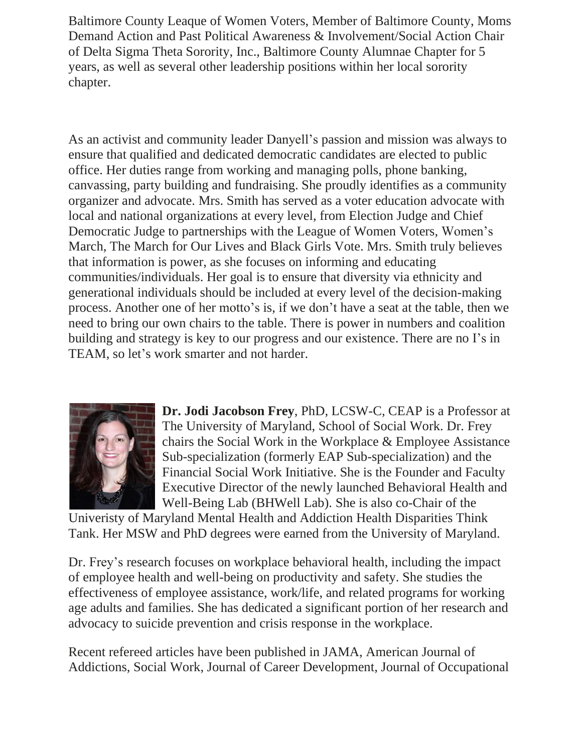Baltimore County Leaque of Women Voters, Member of Baltimore County, Moms Demand Action and Past Political Awareness & Involvement/Social Action Chair of Delta Sigma Theta Sorority, Inc., Baltimore County Alumnae Chapter for 5 years, as well as several other leadership positions within her local sorority chapter.

As an activist and community leader Danyell's passion and mission was always to ensure that qualified and dedicated democratic candidates are elected to public office. Her duties range from working and managing polls, phone banking, canvassing, party building and fundraising. She proudly identifies as a community organizer and advocate. Mrs. Smith has served as a voter education advocate with local and national organizations at every level, from Election Judge and Chief Democratic Judge to partnerships with the League of Women Voters, Women's March, The March for Our Lives and Black Girls Vote. Mrs. Smith truly believes that information is power, as she focuses on informing and educating communities/individuals. Her goal is to ensure that diversity via ethnicity and generational individuals should be included at every level of the decision-making process. Another one of her motto's is, if we don't have a seat at the table, then we need to bring our own chairs to the table. There is power in numbers and coalition building and strategy is key to our progress and our existence. There are no I's in TEAM, so let's work smarter and not harder.



**Dr. Jodi Jacobson Frey**, PhD, LCSW-C, CEAP is a Professor at The University of Maryland, School of Social Work. Dr. Frey chairs the Social Work in the Workplace & Employee Assistance Sub-specialization (formerly EAP Sub-specialization) and the Financial Social Work Initiative. She is the Founder and Faculty Executive Director of the newly launched Behavioral Health and Well-Being Lab (BHWell Lab). She is also co-Chair of the

Univeristy of Maryland Mental Health and Addiction Health Disparities Think Tank. Her MSW and PhD degrees were earned from the University of Maryland.

Dr. Frey's research focuses on workplace behavioral health, including the impact of employee health and well-being on productivity and safety. She studies the effectiveness of employee assistance, work/life, and related programs for working age adults and families. She has dedicated a significant portion of her research and advocacy to suicide prevention and crisis response in the workplace.

Recent refereed articles have been published in JAMA, American Journal of Addictions, Social Work, Journal of Career Development, Journal of Occupational